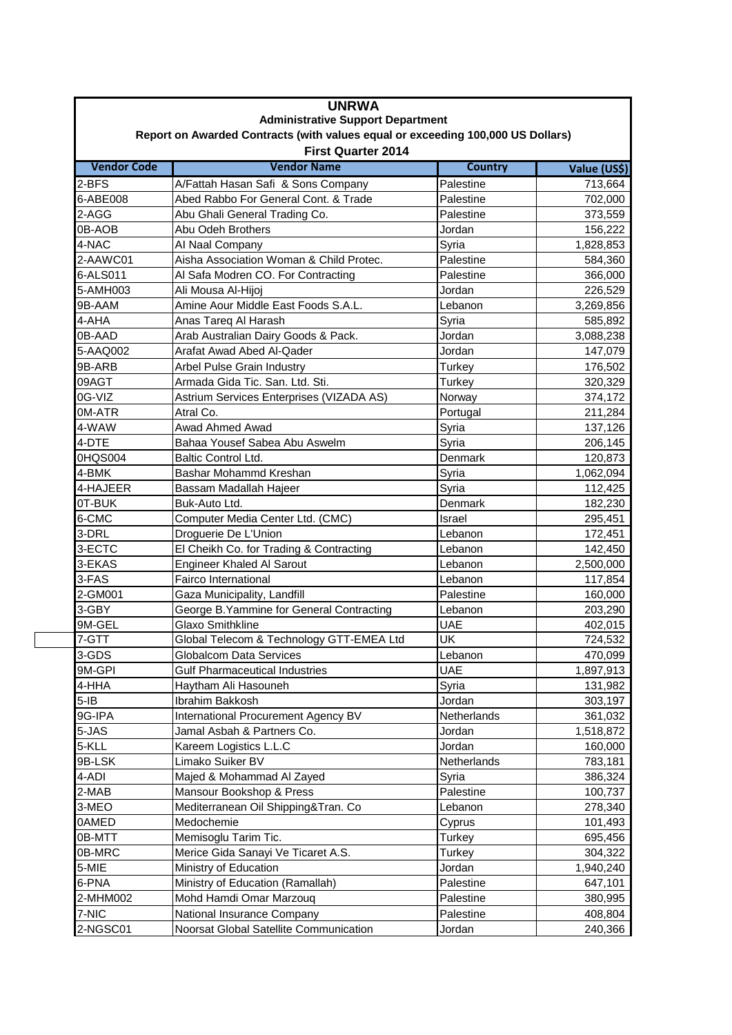| <b>UNRWA</b><br><b>Administrative Support Department</b><br>Report on Awarded Contracts (with values equal or exceeding 100,000 US Dollars)<br><b>First Quarter 2014</b> |                                           |             |           |  |
|--------------------------------------------------------------------------------------------------------------------------------------------------------------------------|-------------------------------------------|-------------|-----------|--|
|                                                                                                                                                                          |                                           |             |           |  |
| 2-BFS                                                                                                                                                                    | A/Fattah Hasan Safi & Sons Company        | Palestine   | 713,664   |  |
| 6-ABE008                                                                                                                                                                 | Abed Rabbo For General Cont. & Trade      | Palestine   | 702,000   |  |
| 2-AGG                                                                                                                                                                    | Abu Ghali General Trading Co.             | Palestine   | 373,559   |  |
| 0B-AOB                                                                                                                                                                   | Abu Odeh Brothers                         | Jordan      | 156,222   |  |
| 4-NAC                                                                                                                                                                    | Al Naal Company                           | Syria       | 1,828,853 |  |
| 2-AAWC01                                                                                                                                                                 | Aisha Association Woman & Child Protec.   | Palestine   | 584,360   |  |
| 6-ALS011                                                                                                                                                                 | Al Safa Modren CO. For Contracting        | Palestine   | 366,000   |  |
| 5-AMH003                                                                                                                                                                 | Ali Mousa Al-Hijoj                        | Jordan      | 226,529   |  |
| 9B-AAM                                                                                                                                                                   | Amine Aour Middle East Foods S.A.L.       | Lebanon     | 3,269,856 |  |
| 4-AHA                                                                                                                                                                    | Anas Tareq Al Harash                      | Syria       | 585,892   |  |
| 0B-AAD                                                                                                                                                                   | Arab Australian Dairy Goods & Pack.       | Jordan      | 3,088,238 |  |
| 5-AAQ002                                                                                                                                                                 | Arafat Awad Abed Al-Qader                 | Jordan      | 147,079   |  |
| 9B-ARB                                                                                                                                                                   | Arbel Pulse Grain Industry                | Turkey      | 176,502   |  |
| 09AGT                                                                                                                                                                    | Armada Gida Tic. San. Ltd. Sti.           | Turkey      | 320,329   |  |
| 0G-VIZ                                                                                                                                                                   | Astrium Services Enterprises (VIZADA AS)  | Norway      | 374,172   |  |
| 0M-ATR                                                                                                                                                                   | Atral Co.                                 | Portugal    | 211,284   |  |
| 4-WAW                                                                                                                                                                    | Awad Ahmed Awad                           | Syria       | 137,126   |  |
| 4-DTE                                                                                                                                                                    | Bahaa Yousef Sabea Abu Aswelm             | Syria       | 206,145   |  |
| 0HQS004                                                                                                                                                                  | <b>Baltic Control Ltd.</b>                | Denmark     | 120,873   |  |
| 4-BMK                                                                                                                                                                    | Bashar Mohammd Kreshan                    | Syria       | 1,062,094 |  |
| 4-HAJEER                                                                                                                                                                 | Bassam Madallah Hajeer                    | Syria       | 112,425   |  |
| 0T-BUK                                                                                                                                                                   | Buk-Auto Ltd.                             | Denmark     | 182,230   |  |
| 6-CMC                                                                                                                                                                    | Computer Media Center Ltd. (CMC)          | Israel      | 295,451   |  |
| 3-DRL                                                                                                                                                                    | Droguerie De L'Union                      | Lebanon     | 172,451   |  |
| 3-ECTC                                                                                                                                                                   | El Cheikh Co. for Trading & Contracting   | Lebanon     | 142,450   |  |
| 3-EKAS                                                                                                                                                                   | <b>Engineer Khaled Al Sarout</b>          | Lebanon     | 2,500,000 |  |
| 3-FAS                                                                                                                                                                    | <b>Fairco International</b>               | Lebanon     | 117,854   |  |
| 2-GM001                                                                                                                                                                  | Gaza Municipality, Landfill               | Palestine   | 160,000   |  |
| 3-GBY                                                                                                                                                                    | George B. Yammine for General Contracting | Lebanon     | 203,290   |  |
| 9M-GEL                                                                                                                                                                   | Glaxo Smithkline                          | <b>UAE</b>  | 402,015   |  |
| $7 - GTT$                                                                                                                                                                | Global Telecom & Technology GTT-EMEA Ltd  | UK          | 724,532   |  |
| 3-GDS                                                                                                                                                                    | <b>Globalcom Data Services</b>            | Lebanon     | 470,099   |  |
| 9M-GPI                                                                                                                                                                   | <b>Gulf Pharmaceutical Industries</b>     | UAE         | 1,897,913 |  |
| 4-HHA                                                                                                                                                                    | Haytham Ali Hasouneh                      | Syria       | 131,982   |  |
| $5-IB$                                                                                                                                                                   | Ibrahim Bakkosh                           | Jordan      | 303,197   |  |
| 9G-IPA                                                                                                                                                                   | International Procurement Agency BV       | Netherlands | 361,032   |  |
| 5-JAS                                                                                                                                                                    | Jamal Asbah & Partners Co.                | Jordan      | 1,518,872 |  |
| 5-KLL                                                                                                                                                                    | Kareem Logistics L.L.C                    | Jordan      | 160,000   |  |
| 9B-LSK                                                                                                                                                                   | Limako Suiker BV                          | Netherlands | 783,181   |  |
| 4-ADI                                                                                                                                                                    | Majed & Mohammad Al Zayed                 | Syria       | 386,324   |  |
| 2-MAB                                                                                                                                                                    | Mansour Bookshop & Press                  | Palestine   | 100,737   |  |
| 3-MEO                                                                                                                                                                    | Mediterranean Oil Shipping&Tran. Co       | Lebanon     | 278,340   |  |
| 0AMED                                                                                                                                                                    | Medochemie                                | Cyprus      | 101,493   |  |
| 0B-MTT                                                                                                                                                                   | Memisoglu Tarim Tic.                      | Turkey      | 695,456   |  |
| 0B-MRC                                                                                                                                                                   | Merice Gida Sanayi Ve Ticaret A.S.        | Turkey      | 304,322   |  |
| 5-MIE                                                                                                                                                                    | Ministry of Education                     | Jordan      | 1,940,240 |  |
| 6-PNA                                                                                                                                                                    | Ministry of Education (Ramallah)          | Palestine   | 647,101   |  |
| 2-MHM002                                                                                                                                                                 | Mohd Hamdi Omar Marzouq                   | Palestine   | 380,995   |  |
| 7-NIC                                                                                                                                                                    | National Insurance Company                | Palestine   | 408,804   |  |
| 2-NGSC01                                                                                                                                                                 | Noorsat Global Satellite Communication    | Jordan      | 240,366   |  |